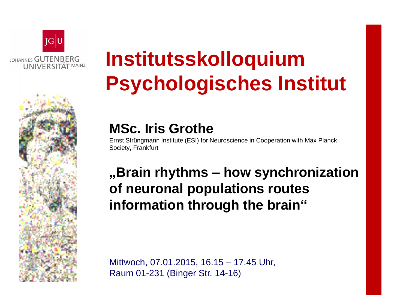

# **Institutsskolloquium Psychologisches Institut**

### **MSc. Iris Grothe**

Ernst Strüngmann Institute (ESI) for Neuroscience in Cooperation with Max Planck Society, Frankfurt

## **"Brain rhythms – how synchronization of neuronal populations routes information through the brain"**

Mittwoch, 07.01.2015, 16.15 – 17.45 Uhr, Raum 01-231 (Binger Str. 14-16)